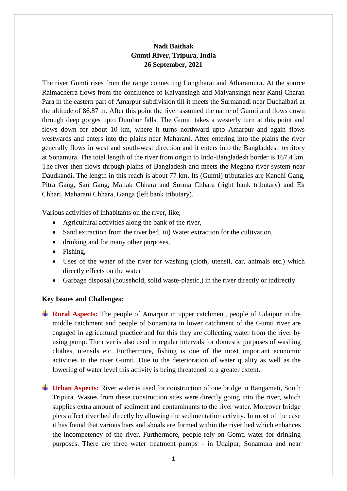## **Nadi Baithak Gumti River, Tripura, India 26 September, 2021**

The river Gumti rises from the range connecting Longtharai and Atharamura. At the source Raimacherra flows from the confluence of Kalyansingh and Malyansingh near Kanti Charan Para in the eastern part of Amarpur subdivision till it meets the Surmanadi near Duchaibari at the altitude of 86.87 m. After this point the river assumed the name of Gumti and flows down through deep gorges upto Dumbur falls. The Gumti takes a westerly turn at this point and flows down for about 10 km, where it turns northward upto Amarpur and again flows westwards and enters into the plains near Maharani. After entering into the plains the river generally flows in west and south-west direction and it enters into the Bangladdesh territory at Sonamura. The total length of the river from origin to Indo-Bangladesh border is 167.4 km. The river then flows through plains of Bangladesh and meets the Meghna river system near Daudkandi. The length in this reach is about 77 km. Its (Gumti) tributaries are Kanchi Gang, Pitra Gang, San Gang, Mailak Chhara and Surma Chhara (right bank tributary) and Ek Chhari, Maharani Chhara, Ganga (left bank tributary).

Various activities of inhabitants on the river, like;

- Agricultural activities along the bank of the river,
- Sand extraction from the river bed, iii) Water extraction for the cultivation,
- drinking and for many other purposes,
- Fishing,
- Uses of the water of the river for washing (cloth, utensil, car, animals etc.) which directly effects on the water
- Garbage disposal (household, solid waste-plastic,) in the river directly or indirectly

## **Key Issues and Challenges:**

- **Rural Aspects:** The people of Amarpur in upper catchment, people of Udaipur in the middle catchment and people of Sonamura in lower catchment of the Gumti river are engaged in agricultural practice and for this they are collecting water from the river by using pump. The river is also used in regular intervals for domestic purposes of washing clothes, utensils etc. Furthermore, fishing is one of the most important economic activities in the river Gumti. Due to the deterioration of water quality as well as the lowering of water level this activity is being threatened to a greater extent.
- **Urban Aspects:** River water is used for construction of one bridge in Rangamati, South Tripura. Wastes from these construction sites were directly going into the river, which supplies extra amount of sediment and contaminants to the river water. Moreover bridge piers affect river bed directly by allowing the sedimentation activity. In most of the case it has found that various bars and shoals are formed within the river bed which enhances the incompetency of the river. Furthermore, people rely on Gomti water for drinking purposes. There are three water treatment pumps – in Udaipur, Sonamura and near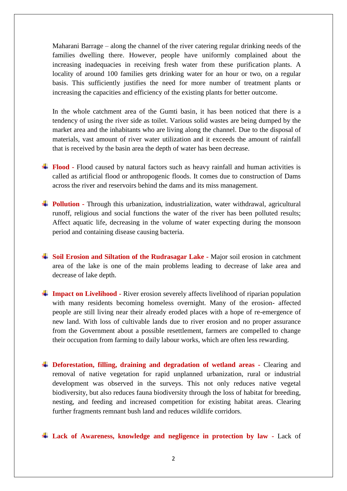Maharani Barrage – along the channel of the river catering regular drinking needs of the families dwelling there. However, people have uniformly complained about the increasing inadequacies in receiving fresh water from these purification plants. A locality of around 100 families gets drinking water for an hour or two, on a regular basis. This sufficiently justifies the need for more number of treatment plants or increasing the capacities and efficiency of the existing plants for better outcome.

In the whole catchment area of the Gumti basin, it has been noticed that there is a tendency of using the river side as toilet. Various solid wastes are being dumped by the market area and the inhabitants who are living along the channel. Due to the disposal of materials, vast amount of river water utilization and it exceeds the amount of rainfall that is received by the basin area the depth of water has been decrease.

- **Flood -** Flood caused by natural factors such as heavy rainfall and human activities is called as artificial flood or anthropogenic floods. It comes due to construction of Dams across the river and reservoirs behind the dams and its miss management.
- **Pollution -** Through this urbanization, industrialization, water withdrawal, agricultural runoff, religious and social functions the water of the river has been polluted results; Affect aquatic life, decreasing in the volume of water expecting during the monsoon period and containing disease causing bacteria.
- **Soil Erosion and Siltation of the Rudrasagar Lake -** Major soil erosion in catchment area of the lake is one of the main problems leading to decrease of lake area and decrease of lake depth.
- **Impact on Livelihood -** River erosion severely affects livelihood of riparian population with many residents becoming homeless overnight. Many of the erosion- affected people are still living near their already eroded places with a hope of re-emergence of new land. With loss of cultivable lands due to river erosion and no proper assurance from the Government about a possible resettlement, farmers are compelled to change their occupation from farming to daily labour works, which are often less rewarding.
- **EXECUTE:** Deforestation, filling, draining and degradation of wetland areas Clearing and removal of native vegetation for rapid unplanned urbanization, rural or industrial development was observed in the surveys. This not only reduces native vegetal biodiversity, but also reduces fauna biodiversity through the loss of habitat for breeding, nesting, and feeding and increased competition for existing habitat areas. Clearing further fragments remnant bush land and reduces wildlife corridors.

**Lack of Awareness, knowledge and negligence in protection by law -** Lack of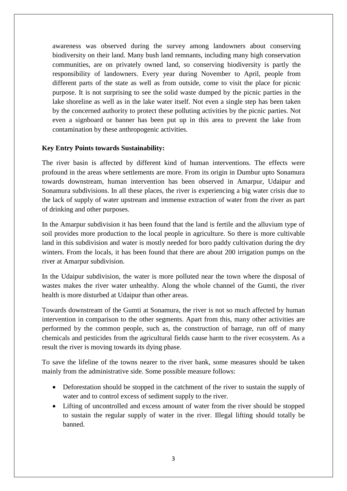awareness was observed during the survey among landowners about conserving biodiversity on their land. Many bush land remnants, including many high conservation communities, are on privately owned land, so conserving biodiversity is partly the responsibility of landowners. Every year during November to April, people from different parts of the state as well as from outside, come to visit the place for picnic purpose. It is not surprising to see the solid waste dumped by the picnic parties in the lake shoreline as well as in the lake water itself. Not even a single step has been taken by the concerned authority to protect these polluting activities by the picnic parties. Not even a signboard or banner has been put up in this area to prevent the lake from contamination by these anthropogenic activities.

## **Key Entry Points towards Sustainability:**

The river basin is affected by different kind of human interventions. The effects were profound in the areas where settlements are more. From its origin in Dumbur upto Sonamura towards downstream, human intervention has been observed in Amarpur, Udaipur and Sonamura subdivisions. In all these places, the river is experiencing a big water crisis due to the lack of supply of water upstream and immense extraction of water from the river as part of drinking and other purposes.

In the Amarpur subdivision it has been found that the land is fertile and the alluvium type of soil provides more production to the local people in agriculture. So there is more cultivable land in this subdivision and water is mostly needed for boro paddy cultivation during the dry winters. From the locals, it has been found that there are about 200 irrigation pumps on the river at Amarpur subdivision.

In the Udaipur subdivision, the water is more polluted near the town where the disposal of wastes makes the river water unhealthy. Along the whole channel of the Gumti, the river health is more disturbed at Udaipur than other areas.

Towards downstream of the Gumti at Sonamura, the river is not so much affected by human intervention in comparison to the other segments. Apart from this, many other activities are performed by the common people, such as, the construction of barrage, run off of many chemicals and pesticides from the agricultural fields cause harm to the river ecosystem. As a result the river is moving towards its dying phase.

To save the lifeline of the towns nearer to the river bank, some measures should be taken mainly from the administrative side. Some possible measure follows:

- Deforestation should be stopped in the catchment of the river to sustain the supply of water and to control excess of sediment supply to the river.
- Lifting of uncontrolled and excess amount of water from the river should be stopped to sustain the regular supply of water in the river. Illegal lifting should totally be banned.